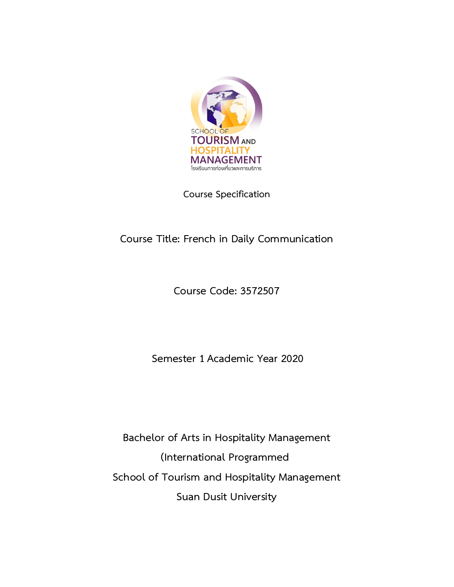

**Course Specification**

# **Course Title: French in Daily Communication**

**Course Code: 3572507**

**Semester 1 Academic Year 2020**

**Bachelor of Arts in Hospitality Management (International Programmed School of Tourism and Hospitality Management Suan Dusit University**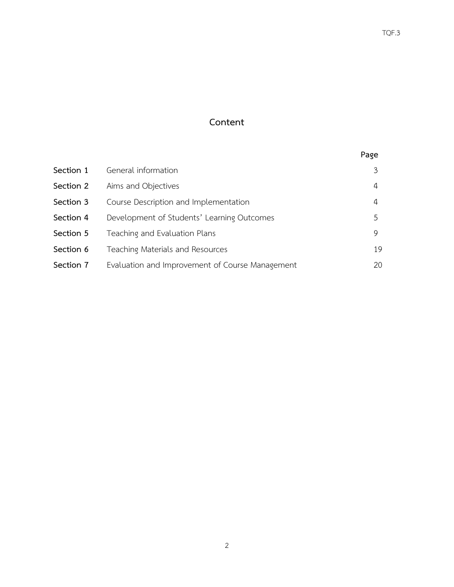# **Content**

|           |                                                 | Page |
|-----------|-------------------------------------------------|------|
| Section 1 | General information                             | 3    |
| Section 2 | Aims and Objectives                             | 4    |
| Section 3 | Course Description and Implementation           | 4    |
| Section 4 | Development of Students' Learning Outcomes      | 5    |
| Section 5 | Teaching and Evaluation Plans                   | 9    |
| Section 6 | Teaching Materials and Resources                | 19   |
| Section 7 | Evaluation and Improvement of Course Management | 20   |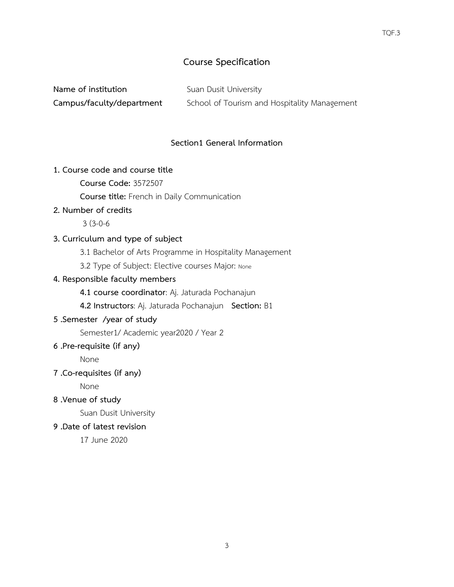# **Course Specification**

| Name of institution       | Suan Dusit University                        |
|---------------------------|----------------------------------------------|
| Campus/faculty/department | School of Tourism and Hospitality Management |

#### **Section1 General Information**

#### **1. Course code and course title**

**Course Code:** 3572507

 **Course title:** French in Daily Communication

#### **2. Number of credits**

3 (3-0-6

#### **3. Curriculum and type of subject**

3.1 Bachelor of Arts Programme in Hospitality Management

3.2 Type of Subject: Elective courses Major: None

# **4. Responsible faculty members**

**4.1 course coordinator**: Aj. Jaturada Pochanajun

**4.2 Instructors**: Aj. Jaturada Pochanajun **Section:** B1

# **5 .Semester /year of study**

Semester1/ Academic year2020 / Year 2

#### **6 .Pre-requisite (if any)**

None

#### **7 .Co-requisites (if any)**

None

**8 .Venue of study**

Suan Dusit University

# **9 .Date of latest revision**

17 June 2020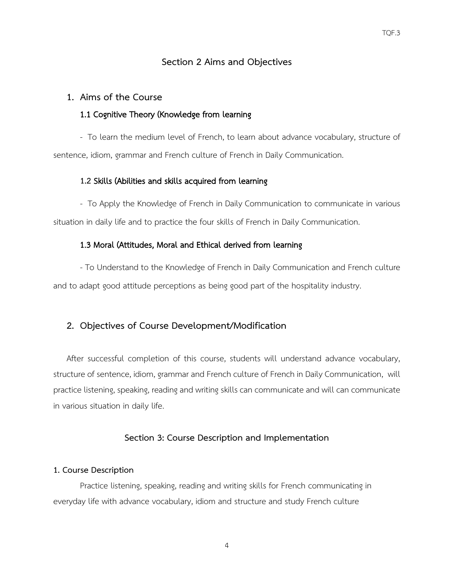#### **Section 2 Aims and Objectives**

#### **1. Aims of the Course**

#### 1.1 Cognitive Theory (Knowledge from learning

- To learn the medium level of French, to learn about advance vocabulary, structure of sentence, idiom, grammar and French culture of French in Daily Communication.

# **1.2** Skills (Abilities and skills acquired from learning

- To Apply the Knowledge of French in Daily Communication to communicate in various situation in daily life and to practice the four skills of French in Daily Communication.

#### 1.3 Moral (Attitudes, Moral and Ethical derived from learning

- To Understand to the Knowledge of French in Daily Communication and French culture and to adapt good attitude perceptions as being good part of the hospitality industry.

#### **2. Objectives of Course Development/Modification**

After successful completion of this course, students will understand advance vocabulary, structure of sentence, idiom, grammar and French culture of French in Daily Communication, will practice listening, speaking, reading and writing skills can communicate and will can communicate in various situation in daily life.

#### **Section 3: Course Description and Implementation**

#### **1. Course Description**

Practice listening, speaking, reading and writing skills for French communicating in everyday life with advance vocabulary, idiom and structure and study French culture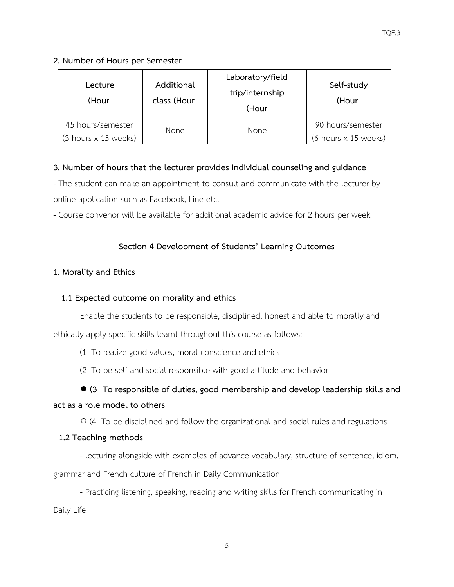# **2. Number of Hours per Semester**

| Lecture<br>(Hour                            | Additional<br>class (Hour | Laboratory/field<br>trip/internship<br>(Hour | Self-study<br>(Hour                         |
|---------------------------------------------|---------------------------|----------------------------------------------|---------------------------------------------|
| 45 hours/semester                           | <b>None</b>               | <b>None</b>                                  | 90 hours/semester                           |
| $(3 \text{ hours} \times 15 \text{ weeks})$ |                           |                                              | $(6 \text{ hours} \times 15 \text{ weeks})$ |

# **3. Number of hours that the lecturer provides individual counseling and guidance**

- The student can make an appointment to consult and communicate with the lecturer by online application such as Facebook, Line etc.

- Course convenor will be available for additional academic advice for 2 hours per week.

# **Section 4 Development of Students' Learning Outcomes**

# **1. Morality and Ethics**

# **1.1 Expected outcome on morality and ethics**

Enable the students to be responsible, disciplined, honest and able to morally and

ethically apply specific skills learnt throughout this course as follows:

(1 To realize good values, moral conscience and ethics

(2 To be self and social responsible with good attitude and behavior

# **● (3 To responsible of duties, good membership and develop leadership skills and**

# **act as a role model to others**

○ (4 To be disciplined and follow the organizational and social rules and regulations

#### **1.2 Teaching methods**

- lecturing alongside with examples of advance vocabulary, structure of sentence, idiom, grammar and French culture of French in Daily Communication

- Practicing listening, speaking, reading and writing skills for French communicating in Daily Life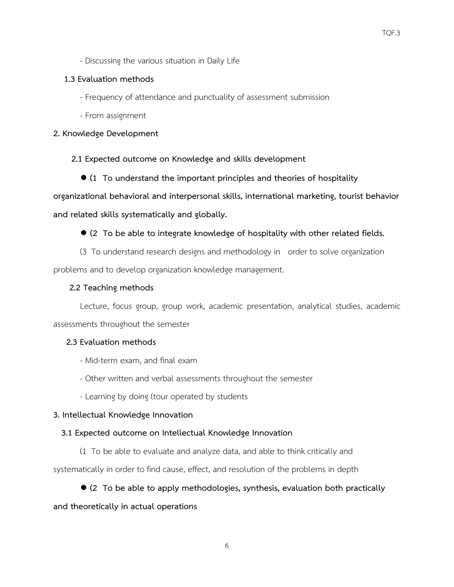- Discussing the various situation in Daily Life

#### **1.3 Evaluation methods**

- Frequency of attendance and punctuality of assessment submission
- From assignment

### **2. Knowledge Development**

**2.1 Expected outcome on Knowledge and skills development**

● **(1 To understand the important principles and theories of hospitality** 

**organizational behavioral and interpersonal skills, international marketing, tourist behavior**

**and related skills systematically and globally.**

**● (2 To be able to integrate knowledge of hospitality with other related fields.**

(3 To understand research designs and methodology in order to solve organization problems and to develop organization knowledge management.

# **2.2 Teaching methods**

Lecture, focus group, group work, academic presentation, analytical studies, academic assessments throughout the semester

# **2.3 Evaluation methods**

- Mid-term exam, and final exam
- Other written and verbal assessments throughout the semester
- Learning by doing (tour operated by students

#### **3. Intellectual Knowledge Innovation**

#### **3.1 Expected outcome on Intellectual Knowledge Innovation**

(1 To be able to evaluate and analyze data, and able to think critically and

systematically in order to find cause, effect, and resolution of the problems in depth

# ● **(2 To be able to apply methodologies, synthesis, evaluation both practically**

# **and theoretically in actual operations**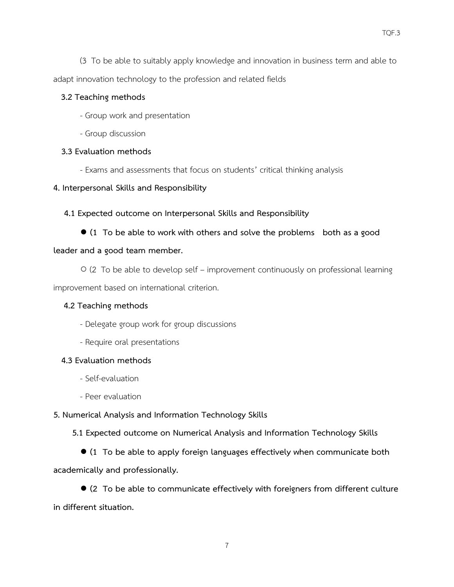(3 To be able to suitably apply knowledge and innovation in business term and able to adapt innovation technology to the profession and related fields

#### **3.2 Teaching methods**

- Group work and presentation
- Group discussion

# **3.3 Evaluation methods**

- Exams and assessments that focus on students' critical thinking analysis

# **4. Interpersonal Skills and Responsibility**

# **4.1 Expected outcome on Interpersonal Skills and Responsibility**

**● (1 To be able to work with others and solve the problems both as a good** 

# **leader and a good team member.**

○ (2 To be able to develop self – improvement continuously on professional learning improvement based on international criterion.

#### **4.2 Teaching methods**

- Delegate group work for group discussions
- Require oral presentations

#### **4.3 Evaluation methods**

- Self-evaluation
- Peer evaluation

# **5. Numerical Analysis and Information Technology Skills**

 **5.1 Expected outcome on Numerical Analysis and Information Technology Skills**

● **(1 To be able to apply foreign languages effectively when communicate both** 

# **academically and professionally.**

● **(2 To be able to communicate effectively with foreigners from different culture in different situation.**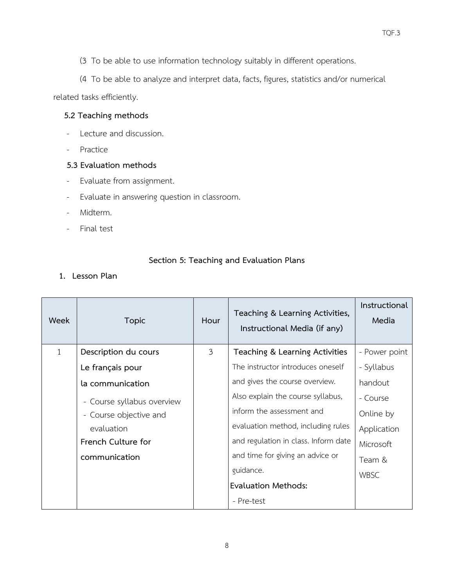- (3 To be able to use information technology suitably in different operations.
- (4 To be able to analyze and interpret data, facts, figures, statistics and/or numerical

related tasks efficiently.

# **5.2 Teaching methods**

- Lecture and discussion.
- Practice

### **5.3 Evaluation methods**

- Evaluate from assignment.
- Evaluate in answering question in classroom.
- Midterm.
- Final test

#### **Section 5: Teaching and Evaluation Plans**

**1. Lesson Plan**

| Week | <b>Topic</b>               | Hour | Teaching & Learning Activities,<br>Instructional Media (if any) | Instructional<br>Media |
|------|----------------------------|------|-----------------------------------------------------------------|------------------------|
| 1    | Description du cours       | 3    | Teaching & Learning Activities                                  | - Power point          |
|      | Le français pour           |      | The instructor introduces oneself                               | - Syllabus             |
|      | la communication           |      | and gives the course overview.                                  | handout                |
|      | - Course syllabus overview |      | Also explain the course syllabus,                               | - Course               |
|      | - Course objective and     |      | inform the assessment and                                       | Online by              |
|      | evaluation                 |      | evaluation method, including rules                              | Application            |
|      | French Culture for         |      | and regulation in class. Inform date                            | Microsoft              |
|      | communication              |      | and time for giving an advice or                                | Team &                 |
|      |                            |      | guidance.                                                       | <b>WBSC</b>            |
|      |                            |      | Evaluation Methods:                                             |                        |
|      |                            |      | - Pre-test                                                      |                        |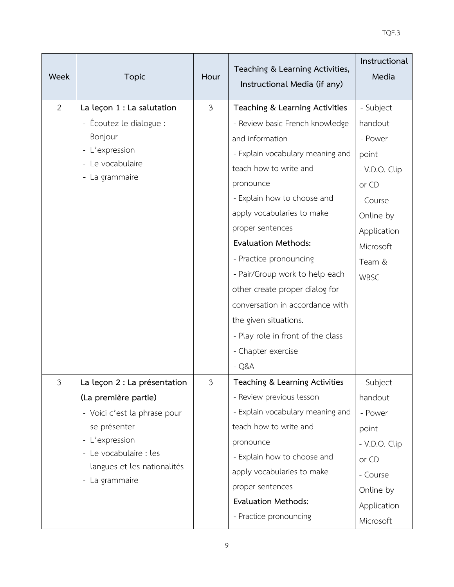| Week           | <b>Topic</b>                 | Hour | Teaching & Learning Activities,<br>Instructional Media (if any) | Instructional<br>Media |
|----------------|------------------------------|------|-----------------------------------------------------------------|------------------------|
| $\overline{2}$ | La leçon 1 : La salutation   | 3    | Teaching & Learning Activities                                  | - Subject              |
|                | - Écoutez le dialogue :      |      | - Review basic French knowledge                                 | handout                |
|                | Bonjour                      |      | and information                                                 | - Power                |
|                | - L'expression               |      | - Explain vocabulary meaning and                                | point                  |
|                | - Le vocabulaire             |      | teach how to write and                                          | - V.D.O. Clip          |
|                | - La grammaire               |      | pronounce                                                       | or CD                  |
|                |                              |      | - Explain how to choose and                                     | - Course               |
|                |                              |      | apply vocabularies to make                                      | Online by              |
|                |                              |      | proper sentences                                                | Application            |
|                |                              |      | <b>Evaluation Methods:</b>                                      | Microsoft              |
|                |                              |      | - Practice pronouncing                                          | Team &                 |
|                |                              |      | - Pair/Group work to help each                                  | WBSC                   |
|                |                              |      | other create proper dialog for                                  |                        |
|                |                              |      | conversation in accordance with                                 |                        |
|                |                              |      | the given situations.                                           |                        |
|                |                              |      | - Play role in front of the class                               |                        |
|                |                              |      | - Chapter exercise                                              |                        |
|                |                              |      | $-Q&A$                                                          |                        |
| 3              | La leçon 2 : La présentation | 3    | Teaching & Learning Activities                                  | - Subject              |
|                | (La première partie)         |      | - Review previous lesson                                        | handout                |
|                | - Voici c'est la phrase pour |      | - Explain vocabulary meaning and                                | - Power                |
|                | se présenter                 |      | teach how to write and                                          | point                  |
|                | - L'expression               |      | pronounce                                                       | - V.D.O. Clip          |
|                | - Le vocabulaire : les       |      | - Explain how to choose and                                     | or CD                  |
|                | langues et les nationalités  |      | apply vocabularies to make                                      | - Course               |
|                | - La grammaire               |      | proper sentences                                                | Online by              |
|                |                              |      | <b>Evaluation Methods:</b>                                      | Application            |
|                |                              |      | - Practice pronouncing                                          | Microsoft              |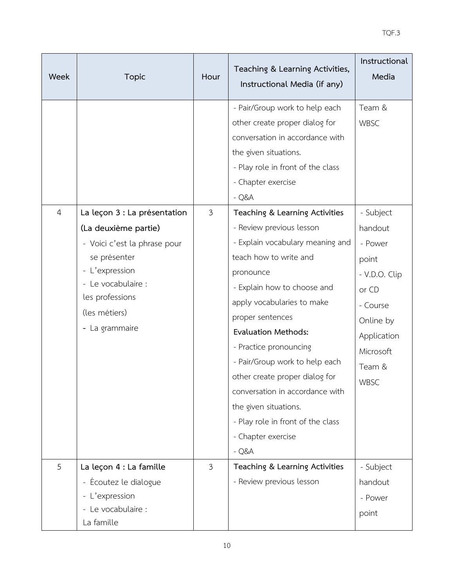| Week           | <b>Topic</b>                                                                                                                                                                                       | Hour           | Teaching & Learning Activities,<br>Instructional Media (if any)                                                                                                                                                                                                                                                                                                                                                                                                                     | Instructional<br>Media                                                                                                                    |
|----------------|----------------------------------------------------------------------------------------------------------------------------------------------------------------------------------------------------|----------------|-------------------------------------------------------------------------------------------------------------------------------------------------------------------------------------------------------------------------------------------------------------------------------------------------------------------------------------------------------------------------------------------------------------------------------------------------------------------------------------|-------------------------------------------------------------------------------------------------------------------------------------------|
|                |                                                                                                                                                                                                    |                | - Pair/Group work to help each<br>other create proper dialog for<br>conversation in accordance with<br>the given situations.<br>- Play role in front of the class<br>- Chapter exercise<br>$-Q&A$                                                                                                                                                                                                                                                                                   | Team &<br><b>WBSC</b>                                                                                                                     |
| $\overline{4}$ | La leçon 3 : La présentation<br>(La deuxième partie)<br>- Voici c'est la phrase pour<br>se présenter<br>- L'expression<br>- Le vocabulaire :<br>les professions<br>(les métiers)<br>- La grammaire | $\mathfrak{Z}$ | Teaching & Learning Activities<br>- Review previous lesson<br>- Explain vocabulary meaning and<br>teach how to write and<br>pronounce<br>- Explain how to choose and<br>apply vocabularies to make<br>proper sentences<br><b>Evaluation Methods:</b><br>- Practice pronouncing<br>- Pair/Group work to help each<br>other create proper dialog for<br>conversation in accordance with<br>the given situations.<br>- Play role in front of the class<br>- Chapter exercise<br>$-Q&A$ | - Subject<br>handout<br>- Power<br>point<br>- V.D.O. Clip<br>or CD<br>- Course<br>Online by<br>Application<br>Microsoft<br>Team &<br>WBSC |
| 5              | La leçon 4 : La famille<br>- Écoutez le dialogue<br>- L'expression<br>- Le vocabulaire :<br>La famille                                                                                             | $\mathfrak{Z}$ | Teaching & Learning Activities<br>- Review previous lesson                                                                                                                                                                                                                                                                                                                                                                                                                          | - Subject<br>handout<br>- Power<br>point                                                                                                  |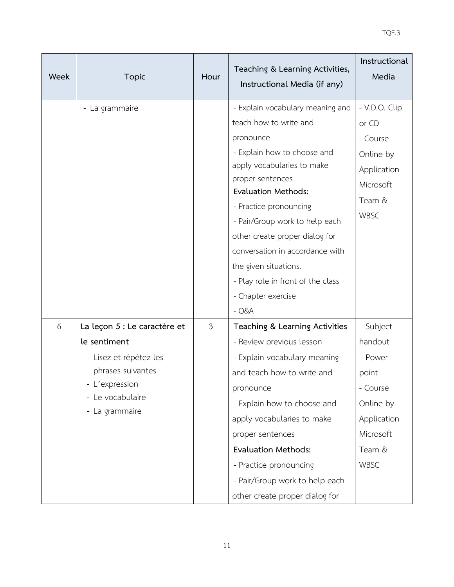| Week | <b>Topic</b>                                                                                                                                        | Hour           | Teaching & Learning Activities,<br>Instructional Media (if any)                                                                                                                                                                                                                                                                                    | Instructional<br>Media                                                                                                 |
|------|-----------------------------------------------------------------------------------------------------------------------------------------------------|----------------|----------------------------------------------------------------------------------------------------------------------------------------------------------------------------------------------------------------------------------------------------------------------------------------------------------------------------------------------------|------------------------------------------------------------------------------------------------------------------------|
|      | - La grammaire                                                                                                                                      |                | - Explain vocabulary meaning and<br>teach how to write and<br>pronounce<br>- Explain how to choose and<br>apply vocabularies to make<br>proper sentences<br><b>Evaluation Methods:</b><br>- Practice pronouncing<br>- Pair/Group work to help each<br>other create proper dialog for                                                               | - V.D.O. Clip<br>or CD<br>- Course<br>Online by<br>Application<br>Microsoft<br>Team &<br><b>WBSC</b>                   |
|      |                                                                                                                                                     |                | conversation in accordance with<br>the given situations.<br>- Play role in front of the class<br>- Chapter exercise<br>$-Q&A$                                                                                                                                                                                                                      |                                                                                                                        |
| 6    | La leçon 5 : Le caractère et<br>le sentiment<br>- Lisez et répétez les<br>phrases suivantes<br>- L'expression<br>- Le vocabulaire<br>- La grammaire | $\mathfrak{Z}$ | Teaching & Learning Activities<br>- Review previous lesson<br>- Explain vocabulary meaning<br>and teach how to write and<br>pronounce<br>- Explain how to choose and<br>apply vocabularies to make<br>proper sentences<br><b>Evaluation Methods:</b><br>- Practice pronouncing<br>- Pair/Group work to help each<br>other create proper dialog for | - Subject<br>handout<br>- Power<br>point<br>- Course<br>Online by<br>Application<br>Microsoft<br>Team &<br><b>WBSC</b> |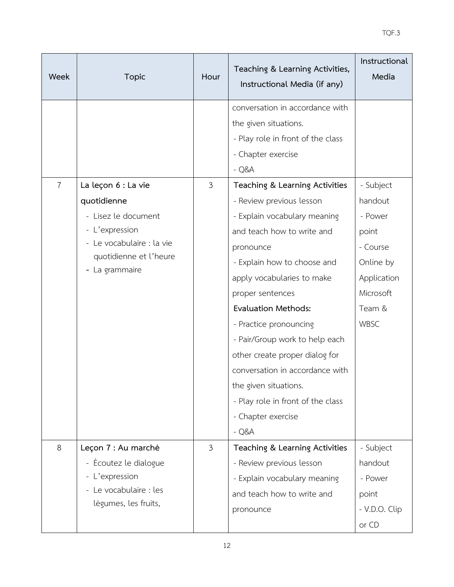| Week           | <b>Topic</b>                                                                                                                                         | Hour           | Teaching & Learning Activities,<br>Instructional Media (if any)                                                                                                                                                                                                                                                                                                                                                                                                                                                                                                                      | Instructional<br>Media                                                                                          |
|----------------|------------------------------------------------------------------------------------------------------------------------------------------------------|----------------|--------------------------------------------------------------------------------------------------------------------------------------------------------------------------------------------------------------------------------------------------------------------------------------------------------------------------------------------------------------------------------------------------------------------------------------------------------------------------------------------------------------------------------------------------------------------------------------|-----------------------------------------------------------------------------------------------------------------|
| $\overline{7}$ | La leçon 6 : La vie<br>quotidienne<br>- Lisez le document<br>- L'expression<br>- Le vocabulaire : la vie<br>quotidienne et l'heure<br>- La grammaire | 3              | conversation in accordance with<br>the given situations.<br>- Play role in front of the class<br>- Chapter exercise<br>$-Q&A$<br>Teaching & Learning Activities<br>- Review previous lesson<br>- Explain vocabulary meaning<br>and teach how to write and<br>pronounce<br>- Explain how to choose and<br>apply vocabularies to make<br>proper sentences<br><b>Evaluation Methods:</b><br>- Practice pronouncing<br>- Pair/Group work to help each<br>other create proper dialog for<br>conversation in accordance with<br>the given situations.<br>- Play role in front of the class | - Subject<br>handout<br>- Power<br>point<br>- Course<br>Online by<br>Application<br>Microsoft<br>Team &<br>WBSC |
|                |                                                                                                                                                      |                | - Chapter exercise<br>$-Q&A$                                                                                                                                                                                                                                                                                                                                                                                                                                                                                                                                                         |                                                                                                                 |
| 8              | Leçon 7 : Au marché<br>- Écoutez le dialogue<br>- L'expression<br>- Le vocabulaire : les<br>légumes, les fruits,                                     | $\mathfrak{Z}$ | Teaching & Learning Activities<br>- Review previous lesson<br>- Explain vocabulary meaning<br>and teach how to write and<br>pronounce                                                                                                                                                                                                                                                                                                                                                                                                                                                | - Subject<br>handout<br>- Power<br>point<br>- V.D.O. Clip<br>or CD                                              |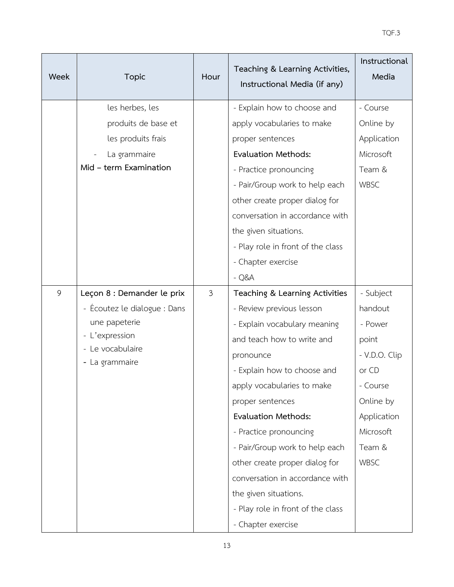| Week | <b>Topic</b>                       | Hour | Teaching & Learning Activities,<br>Instructional Media (if any) | Instructional<br>Media |
|------|------------------------------------|------|-----------------------------------------------------------------|------------------------|
|      | les herbes, les                    |      | - Explain how to choose and                                     | - Course               |
|      | produits de base et                |      | apply vocabularies to make                                      | Online by              |
|      | les produits frais                 |      | proper sentences                                                | Application            |
|      | La grammaire                       |      | <b>Evaluation Methods:</b>                                      | Microsoft              |
|      | Mid - term Examination             |      | - Practice pronouncing                                          | Team &                 |
|      |                                    |      | - Pair/Group work to help each                                  | <b>WBSC</b>            |
|      |                                    |      | other create proper dialog for                                  |                        |
|      |                                    |      | conversation in accordance with                                 |                        |
|      |                                    |      | the given situations.                                           |                        |
|      |                                    |      | - Play role in front of the class                               |                        |
|      |                                    |      | - Chapter exercise                                              |                        |
|      |                                    |      | $-Q&A$                                                          |                        |
| 9    | Leçon 8 : Demander le prix         | 3    | Teaching & Learning Activities                                  | - Subject              |
|      | - Écoutez le dialogue : Dans       |      | - Review previous lesson                                        | handout                |
|      | une papeterie                      |      | - Explain vocabulary meaning                                    | - Power                |
|      | - L'expression                     |      | and teach how to write and                                      | point                  |
|      | - Le vocabulaire<br>- La grammaire |      | pronounce                                                       | - V.D.O. Clip          |
|      |                                    |      | - Explain how to choose and                                     | or CD                  |
|      |                                    |      | apply vocabularies to make                                      | - Course               |
|      |                                    |      | proper sentences                                                | Online by              |
|      |                                    |      | <b>Evaluation Methods:</b>                                      | Application            |
|      |                                    |      | - Practice pronouncing                                          | Microsoft              |
|      |                                    |      | - Pair/Group work to help each                                  | Team &                 |
|      |                                    |      | other create proper dialog for                                  | <b>WBSC</b>            |
|      |                                    |      | conversation in accordance with                                 |                        |
|      |                                    |      | the given situations.                                           |                        |
|      |                                    |      | - Play role in front of the class                               |                        |
|      |                                    |      | - Chapter exercise                                              |                        |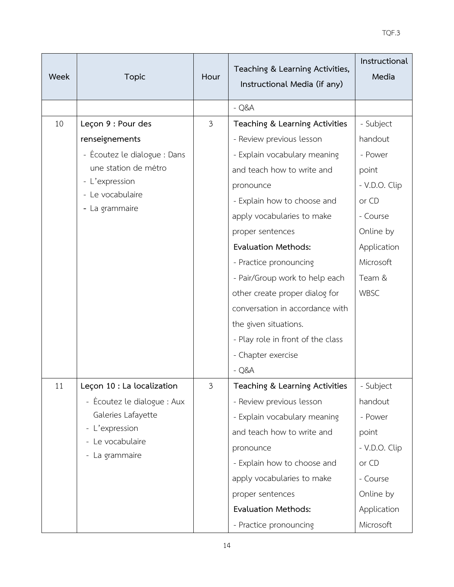| Week | <b>Topic</b>                       | Hour           | Teaching & Learning Activities,<br>Instructional Media (if any) | Instructional<br>Media |
|------|------------------------------------|----------------|-----------------------------------------------------------------|------------------------|
|      |                                    |                | $-Q&A$                                                          |                        |
| 10   | Leçon 9 : Pour des                 | 3              | Teaching & Learning Activities                                  | - Subject              |
|      | renseignements                     |                | - Review previous lesson                                        | handout                |
|      | - Écoutez le dialogue : Dans       |                | - Explain vocabulary meaning                                    | - Power                |
|      | une station de métro               |                | and teach how to write and                                      | point                  |
|      | - L'expression                     |                | pronounce                                                       | - V.D.O. Clip          |
|      | - Le vocabulaire<br>- La grammaire |                | - Explain how to choose and                                     | or CD                  |
|      |                                    |                | apply vocabularies to make                                      | - Course               |
|      |                                    |                | proper sentences                                                | Online by              |
|      |                                    |                | <b>Evaluation Methods:</b>                                      | Application            |
|      |                                    |                | - Practice pronouncing                                          | Microsoft              |
|      |                                    |                | - Pair/Group work to help each                                  | Team &                 |
|      |                                    |                | other create proper dialog for                                  | WBSC                   |
|      |                                    |                | conversation in accordance with                                 |                        |
|      |                                    |                | the given situations.                                           |                        |
|      |                                    |                | - Play role in front of the class                               |                        |
|      |                                    |                | - Chapter exercise                                              |                        |
|      |                                    |                | $-Q&A$                                                          |                        |
| 11   | Leçon 10 : La localization         | $\mathfrak{Z}$ | Teaching & Learning Activities                                  | - Subject              |
|      | - Écoutez le dialogue : Aux        |                | - Review previous lesson                                        | handout                |
|      | Galeries Lafayette                 |                | - Explain vocabulary meaning                                    | - Power                |
|      | - L'expression<br>- Le vocabulaire |                | and teach how to write and                                      | point                  |
|      | - La grammaire                     |                | pronounce                                                       | - V.D.O. Clip          |
|      |                                    |                | - Explain how to choose and                                     | or CD                  |
|      |                                    |                | apply vocabularies to make                                      | - Course               |
|      |                                    |                | proper sentences                                                | Online by              |
|      |                                    |                | <b>Evaluation Methods:</b>                                      | Application            |
|      |                                    |                | - Practice pronouncing                                          | Microsoft              |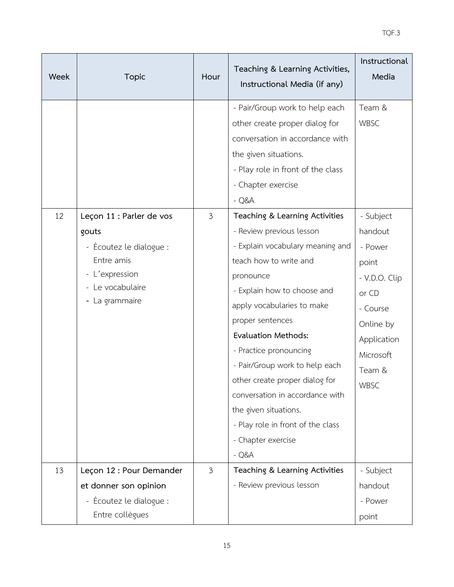| Week | <b>Topic</b>                                                                                           | Hour           | Teaching & Learning Activities,<br>Instructional Media (if any)                                                                                                                                                                                                                                                                                                                                                                                   | Instructional<br>Media                                                                                                       |
|------|--------------------------------------------------------------------------------------------------------|----------------|---------------------------------------------------------------------------------------------------------------------------------------------------------------------------------------------------------------------------------------------------------------------------------------------------------------------------------------------------------------------------------------------------------------------------------------------------|------------------------------------------------------------------------------------------------------------------------------|
| 12   | Leçon 11 : Parler de vos                                                                               | $\mathfrak{Z}$ | - Pair/Group work to help each<br>other create proper dialog for<br>conversation in accordance with<br>the given situations.<br>- Play role in front of the class<br>- Chapter exercise<br>$-Q&A$<br>Teaching & Learning Activities                                                                                                                                                                                                               | Team &<br><b>WBSC</b><br>- Subject                                                                                           |
|      | gouts<br>- Écoutez le dialogue :<br>Entre amis<br>- L'expression<br>- Le vocabulaire<br>- La grammaire |                | - Review previous lesson<br>- Explain vocabulary meaning and<br>teach how to write and<br>pronounce<br>- Explain how to choose and<br>apply vocabularies to make<br>proper sentences<br><b>Evaluation Methods:</b><br>- Practice pronouncing<br>- Pair/Group work to help each<br>other create proper dialog for<br>conversation in accordance with<br>the given situations.<br>- Play role in front of the class<br>- Chapter exercise<br>$-Q&A$ | handout<br>- Power<br>point<br>- V.D.O. Clip<br>or CD<br>- Course<br>Online by<br>Application<br>Microsoft<br>Team &<br>WBSC |
| 13   | Leçon 12 : Pour Demander<br>et donner son opinion<br>- Écoutez le dialogue :<br>Entre collègues        | $\mathfrak{Z}$ | Teaching & Learning Activities<br>- Review previous lesson                                                                                                                                                                                                                                                                                                                                                                                        | - Subject<br>handout<br>- Power<br>point                                                                                     |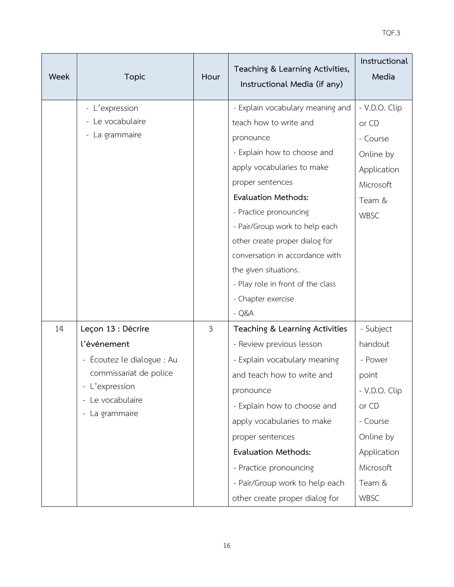| <b>Week</b> | <b>Topic</b>                       | Hour | Teaching & Learning Activities,<br>Instructional Media (if any) | Instructional<br>Media |
|-------------|------------------------------------|------|-----------------------------------------------------------------|------------------------|
|             | - L'expression                     |      | - Explain vocabulary meaning and                                | - V.D.O. Clip          |
|             | - Le vocabulaire                   |      | teach how to write and                                          | or CD                  |
|             | - La grammaire                     |      | pronounce                                                       | - Course               |
|             |                                    |      | - Explain how to choose and                                     | Online by              |
|             |                                    |      | apply vocabularies to make                                      | Application            |
|             |                                    |      | proper sentences                                                | Microsoft              |
|             |                                    |      | <b>Evaluation Methods:</b>                                      | Team &                 |
|             |                                    |      | - Practice pronouncing                                          | <b>WBSC</b>            |
|             |                                    |      | - Pair/Group work to help each                                  |                        |
|             |                                    |      | other create proper dialog for                                  |                        |
|             |                                    |      | conversation in accordance with                                 |                        |
|             |                                    |      | the given situations.                                           |                        |
|             |                                    |      | - Play role in front of the class                               |                        |
|             |                                    |      | - Chapter exercise                                              |                        |
|             |                                    |      | $-Q&A$                                                          |                        |
| 14          | Leçon 13 : Décrire                 | 3    | Teaching & Learning Activities                                  | - Subject              |
|             | l'événement                        |      | - Review previous lesson                                        | handout                |
|             | - Écoutez le dialogue : Au         |      | - Explain vocabulary meaning                                    | - Power                |
|             | commissariat de police             |      | and teach how to write and                                      | point                  |
|             | - L'expression<br>- Le vocabulaire |      | pronounce                                                       | - V.D.O. Clip          |
|             | - La grammaire                     |      | - Explain how to choose and                                     | or CD                  |
|             |                                    |      | apply vocabularies to make                                      | - Course               |
|             |                                    |      | proper sentences                                                | Online by              |
|             |                                    |      | <b>Evaluation Methods:</b>                                      | Application            |
|             |                                    |      | - Practice pronouncing                                          | Microsoft              |
|             |                                    |      | - Pair/Group work to help each                                  | Team &                 |
|             |                                    |      | other create proper dialog for                                  | <b>WBSC</b>            |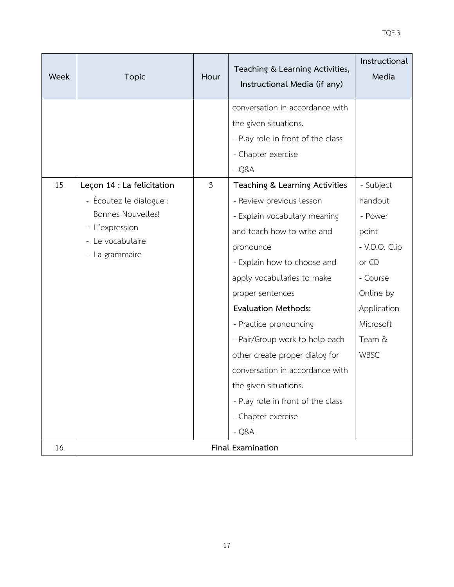| Week | <b>Topic</b>                                                                                         | Hour           | Teaching & Learning Activities,<br>Instructional Media (if any)                                                                                                                                                                                                                                                                                                                                                                                   | Instructional<br>Media                                                                                                       |  |
|------|------------------------------------------------------------------------------------------------------|----------------|---------------------------------------------------------------------------------------------------------------------------------------------------------------------------------------------------------------------------------------------------------------------------------------------------------------------------------------------------------------------------------------------------------------------------------------------------|------------------------------------------------------------------------------------------------------------------------------|--|
| 15   | Leçon 14 : La felicitation                                                                           | $\mathfrak{Z}$ | conversation in accordance with<br>the given situations.<br>- Play role in front of the class<br>- Chapter exercise<br>$-Q&A$<br>Teaching & Learning Activities                                                                                                                                                                                                                                                                                   | - Subject                                                                                                                    |  |
|      | - Écoutez le dialogue :<br>Bonnes Nouvelles!<br>- L'expression<br>- Le vocabulaire<br>- La grammaire |                | - Review previous lesson<br>- Explain vocabulary meaning<br>and teach how to write and<br>pronounce<br>- Explain how to choose and<br>apply vocabularies to make<br>proper sentences<br><b>Evaluation Methods:</b><br>- Practice pronouncing<br>- Pair/Group work to help each<br>other create proper dialog for<br>conversation in accordance with<br>the given situations.<br>- Play role in front of the class<br>- Chapter exercise<br>$-Q&A$ | handout<br>- Power<br>point<br>- V.D.O. Clip<br>or CD<br>- Course<br>Online by<br>Application<br>Microsoft<br>Team &<br>WBSC |  |
| 16   | Final Examination                                                                                    |                |                                                                                                                                                                                                                                                                                                                                                                                                                                                   |                                                                                                                              |  |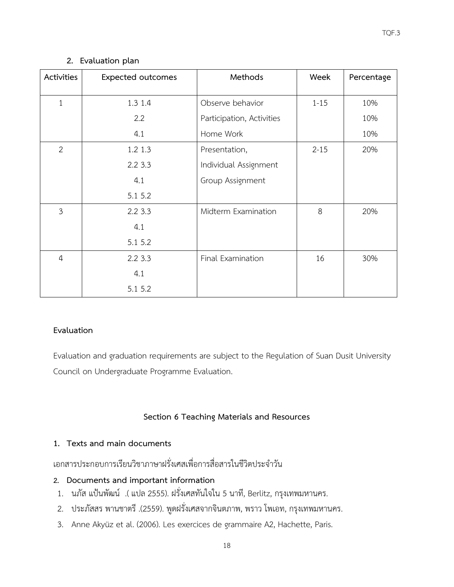# **2. Evaluation plan**

| Activities     | <b>Expected outcomes</b> | Methods                   | Week     | Percentage |
|----------------|--------------------------|---------------------------|----------|------------|
| $\mathbf{1}$   | 1.3 1.4                  | Observe behavior          | $1 - 15$ | 10%        |
|                | 2.2                      | Participation, Activities |          | 10%        |
|                | 4.1                      | Home Work                 |          | 10%        |
| $\overline{2}$ | 1.2 1.3                  | Presentation,             | $2 - 15$ | 20%        |
|                | 2.23.3                   | Individual Assignment     |          |            |
|                | 4.1                      | Group Assignment          |          |            |
|                | 5.1 5.2                  |                           |          |            |
| $\mathfrak{Z}$ | 2.2 3.3                  | Midterm Examination       | 8        | 20%        |
|                | 4.1                      |                           |          |            |
|                | 5.1 5.2                  |                           |          |            |
| $\overline{4}$ | 2.23.3                   | Final Examination         | 16       | 30%        |
|                | 4.1                      |                           |          |            |
|                | 5.1 5.2                  |                           |          |            |

#### **Evaluation**

Evaluation and graduation requirements are subject to the Regulation of Suan Dusit University Council on Undergraduate Programme Evaluation.

# **Section 6 Teaching Materials and Resources**

# **1. Texts and main documents**

เอกสารประกอบการเรียนวิชาภาษาฝรั่งเศสเพื่อการสื่อสารในชีวิตประจําวัน

# **2. Documents and important information**

- 1. นภัส แปนพัฒน .(แปล2555). ฝรั่งเศสทันใจใน 5 นาที, Berlitz, กรุงเทพมหานคร.
- 2. ประภัสสร พานชาตรี .(2559). พูดฝรั่งเศสจากจินตภาพ, พราว โพเอท, กรุงเทพมหานคร.
- 3. Anne Akyüz et al. (2006). Les exercices de grammaire A2, Hachette, Paris.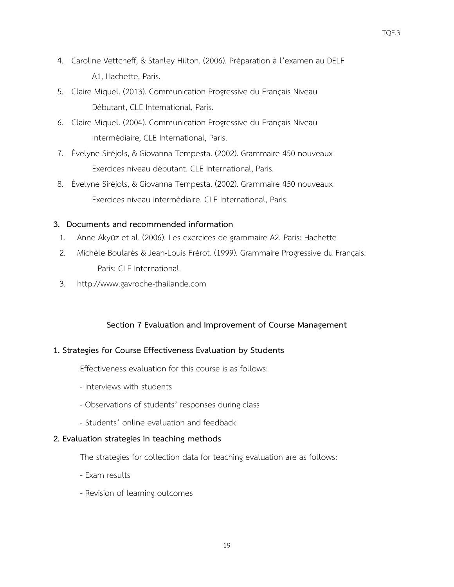- 4. Caroline Vettcheff, & Stanley Hilton. (2006). Préparation à l'examen au DELF A1, Hachette, Paris.
- 5. Claire Miquel. (2013). Communication Progressive du Français Niveau Débutant, CLE International, Paris.
- 6. Claire Miquel. (2004). Communication Progressive du Français Niveau Intermédiaire, CLE International, Paris.
- 7. Évelyne Siréjols, & Giovanna Tempesta. (2002). Grammaire 450 nouveaux Exercices niveau débutant. CLE International, Paris.
- 8. Évelyne Siréjols, & Giovanna Tempesta. (2002). Grammaire 450 nouveaux Exercices niveau intermédiaire. CLE International, Paris.

# **3. Documents and recommended information**

- 1. Anne Akyüz et al. (2006). Les exercices de grammaire A2. Paris: Hachette
- 2. Michèle Boularès & Jean-Louis Frérot. (1999). Grammaire Progressive du Français. Paris: CLE International
- 3. http://www.gavroche-thailande.com

#### **Section 7 Evaluation and Improvement of Course Management**

#### **1. Strategies for Course Effectiveness Evaluation by Students**

Effectiveness evaluation for this course is as follows:

- Interviews with students
- Observations of students' responses during class
- Students' online evaluation and feedback

#### **2. Evaluation strategies in teaching methods**

The strategies for collection data for teaching evaluation are as follows:

- Exam results
- Revision of learning outcomes